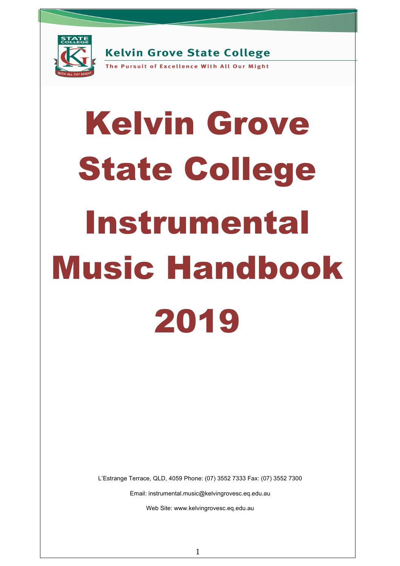

**Kelvin Grove State College** 

The Pursuit of Excellence With All Our Might

# Kelvin Grove State College Instrumental Music Handbook 2019

L'Estrange Terrace, QLD, 4059 Phone: (07) 3552 7333 Fax: (07) 3552 7300

Email: instrumental.music@kelvingrovesc.eq.edu.au

Web Site: www.kelvingrovesc.eq.edu.au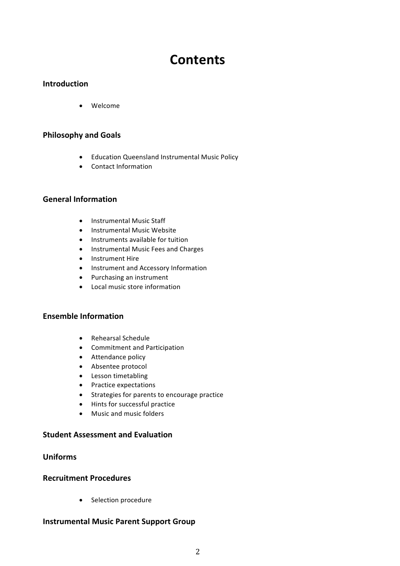# **Contents**

# **Introduction**

• Welcome

# **Philosophy and Goals**

- Education Queensland Instrumental Music Policy
- Contact Information

# **General Information**

- Instrumental Music Staff
- Instrumental Music Website
- Instruments available for tuition
- Instrumental Music Fees and Charges
- Instrument Hire
- Instrument and Accessory Information
- Purchasing an instrument
- Local music store information

## **Ensemble Information**

- Rehearsal Schedule
- Commitment and Participation
- Attendance policy
- Absentee protocol
- Lesson timetabling
- Practice expectations
- Strategies for parents to encourage practice
- Hints for successful practice
- Music and music folders

### **Student Assessment and Evaluation**

# **Uniforms**

### **Recruitment Procedures**

• Selection procedure

# **Instrumental Music Parent Support Group**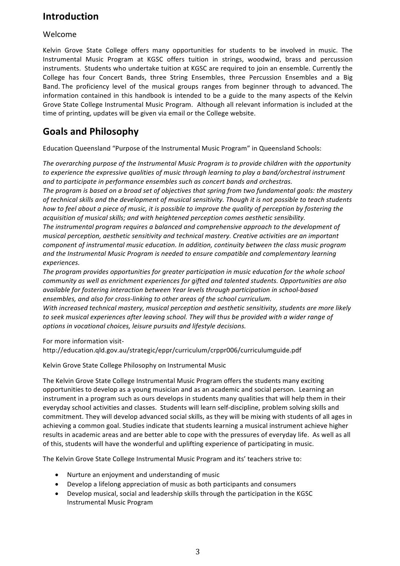# **Introduction**

# Welcome

Kelvin Grove State College offers many opportunities for students to be involved in music. The Instrumental Music Program at KGSC offers tuition in strings, woodwind, brass and percussion instruments. Students who undertake tuition at KGSC are required to join an ensemble. Currently the College has four Concert Bands, three String Ensembles, three Percussion Ensembles and a Big Band. The proficiency level of the musical groups ranges from beginner through to advanced. The information contained in this handbook is intended to be a guide to the many aspects of the Kelvin Grove State College Instrumental Music Program. Although all relevant information is included at the time of printing, updates will be given via email or the College website.

# **Goals and Philosophy**

Education Queensland "Purpose of the Instrumental Music Program" in Queensland Schools:

The overarching purpose of the Instrumental Music Program is to provide children with the opportunity to experience the expressive qualities of music through learning to play a band/orchestral instrument and to participate in performance ensembles such as concert bands and orchestras.

The program is based on a broad set of objectives that spring from two fundamental goals: the mastery *of* technical skills and the development of musical sensitivity. Though it is not possible to teach students *how* to feel about a piece of music, it is possible to improve the quality of perception by fostering the *acquisition of musical skills; and with heightened perception comes aesthetic sensibility.*

The instrumental program requires a balanced and comprehensive approach to the development of musical perception, aesthetic sensitivity and technical mastery. Creative activities are an important *component of instrumental music education. In addition, continuity between the class music program* and the Instrumental Music Program is needed to ensure compatible and complementary learning *experiences.*

The program provides opportunities for greater participation in music education for the whole school *community* as well as enrichment experiences for gifted and talented students. Opportunities are also *available for fostering interaction between Year levels through participation in school-based* ensembles, and also for cross-linking to other areas of the school curriculum.

With increased technical mastery, musical perception and aesthetic sensitivity, students are more likely to seek musical experiences after leaving school. They will thus be provided with a wider range of options in vocational choices, leisure pursuits and lifestyle decisions.

For more information visit-

http://education.qld.gov.au/strategic/eppr/curriculum/crppr006/curriculumguide.pdf

Kelvin Grove State College Philosophy on Instrumental Music

The Kelvin Grove State College Instrumental Music Program offers the students many exciting opportunities to develop as a young musician and as an academic and social person. Learning an instrument in a program such as ours develops in students many qualities that will help them in their everyday school activities and classes. Students will learn self-discipline, problem solving skills and commitment. They will develop advanced social skills, as they will be mixing with students of all ages in achieving a common goal. Studies indicate that students learning a musical instrument achieve higher results in academic areas and are better able to cope with the pressures of everyday life. As well as all of this, students will have the wonderful and uplifting experience of participating in music.

The Kelvin Grove State College Instrumental Music Program and its' teachers strive to:

- Nurture an enjoyment and understanding of music
- Develop a lifelong appreciation of music as both participants and consumers
- Develop musical, social and leadership skills through the participation in the KGSC Instrumental Music Program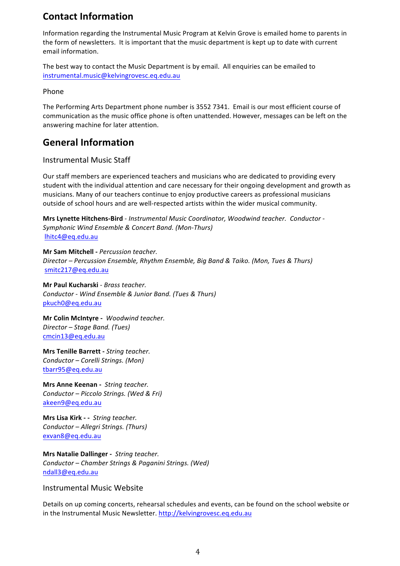# **Contact Information**

Information regarding the Instrumental Music Program at Kelvin Grove is emailed home to parents in the form of newsletters. It is important that the music department is kept up to date with current email information.

The best way to contact the Music Department is by email. All enquiries can be emailed to instrumental.music@kelvingrovesc.eq.edu.au

#### Phone

The Performing Arts Department phone number is 3552 7341. Email is our most efficient course of communication as the music office phone is often unattended. However, messages can be left on the answering machine for later attention.

# **General Information**

## Instrumental Music Staff

Our staff members are experienced teachers and musicians who are dedicated to providing every student with the individual attention and care necessary for their ongoing development and growth as musicians. Many of our teachers continue to enjoy productive careers as professional musicians outside of school hours and are well-respected artists within the wider musical community.

**Mrs Lynette Hitchens-Bird** - *Instrumental Music Coordinator, Woodwind teacher. Conductor - Symphonic Wind Ensemble & Concert Band. (Mon-Thurs)* lhitc4@eq.edu.au

**Mr Sam Mitchell -** *Percussion teacher. Director – Percussion Ensemble, Rhythm Ensemble, Big Band & Taiko. (Mon, Tues & Thurs)* smitc217@eq.edu.au

**Mr Paul Kucharski** - *Brass teacher. Conductor - Wind Ensemble & Junior Band. (Tues & Thurs)* pkuch0@eq.edu.au

**Mr Colin McIntyre -** *Woodwind teacher. Director – Stage Band. (Tues)* cmcin13@eq.edu.au

**Mrs Tenille Barrett - String teacher.** *Conductor – Corelli Strings. (Mon)* tbarr95@eq.edu.au

**Mrs Anne Keenan - String teacher.** *Conductor – Piccolo Strings. (Wed & Fri)* akeen9@eq.edu.au

**Mrs Lisa Kirk - - String teacher.** *Conductor – Allegri Strings. (Thurs)* exvan8@eq.edu.au

**Mrs Natalie Dallinger** - *String teacher. Conductor – Chamber Strings & Paganini Strings. (Wed)* ndall3@eq.edu.au

### Instrumental Music Website

Details on up coming concerts, rehearsal schedules and events, can be found on the school website or in the Instrumental Music Newsletter. http://kelvingrovesc.eq.edu.au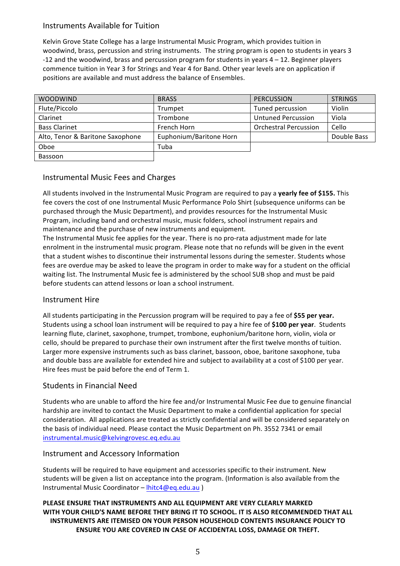# Instruments Available for Tuition

Kelvin Grove State College has a large Instrumental Music Program, which provides tuition in woodwind, brass, percussion and string instruments. The string program is open to students in years 3 -12 and the woodwind, brass and percussion program for students in years  $4 - 12$ . Beginner players commence tuition in Year 3 for Strings and Year 4 for Band. Other year levels are on application if positions are available and must address the balance of Ensembles.

| <b>WOODWIND</b>                  | <b>BRASS</b>            | <b>PERCUSSION</b>            | <b>STRINGS</b> |
|----------------------------------|-------------------------|------------------------------|----------------|
| Flute/Piccolo                    | Trumpet                 | Tuned percussion             | Violin         |
| Clarinet                         | Trombone                | <b>Untuned Percussion</b>    | Viola          |
| <b>Bass Clarinet</b>             | French Horn             | <b>Orchestral Percussion</b> | Cello          |
| Alto, Tenor & Baritone Saxophone | Euphonium/Baritone Horn |                              | Double Bass    |
| Oboe                             | Tuba                    |                              |                |
| Bassoon                          |                         |                              |                |

# Instrumental Music Fees and Charges

All students involved in the Instrumental Music Program are required to pay a yearly fee of \$155. This fee covers the cost of one Instrumental Music Performance Polo Shirt (subsequence uniforms can be purchased through the Music Department), and provides resources for the Instrumental Music Program, including band and orchestral music, music folders, school instrument repairs and maintenance and the purchase of new instruments and equipment.

The Instrumental Music fee applies for the year. There is no pro-rata adjustment made for late enrolment in the instrumental music program. Please note that no refunds will be given in the event that a student wishes to discontinue their instrumental lessons during the semester. Students whose fees are overdue may be asked to leave the program in order to make way for a student on the official waiting list. The Instrumental Music fee is administered by the school SUB shop and must be paid before students can attend lessons or loan a school instrument.

# Instrument Hire

All students participating in the Percussion program will be required to pay a fee of \$55 per year. Students using a school loan instrument will be required to pay a hire fee of \$100 per year. Students learning flute, clarinet, saxophone, trumpet, trombone, euphonium/baritone horn, violin, viola or cello, should be prepared to purchase their own instrument after the first twelve months of tuition. Larger more expensive instruments such as bass clarinet, bassoon, oboe, baritone saxophone, tuba and double bass are available for extended hire and subject to availability at a cost of \$100 per year. Hire fees must be paid before the end of Term 1.

# Students in Financial Need

Students who are unable to afford the hire fee and/or Instrumental Music Fee due to genuine financial hardship are invited to contact the Music Department to make a confidential application for special consideration. All applications are treated as strictly confidential and will be considered separately on the basis of individual need. Please contact the Music Department on Ph. 3552 7341 or email instrumental.music@kelvingrovesc.eq.edu.au

# Instrument and Accessory Information

Students will be required to have equipment and accessories specific to their instrument. New students will be given a list on acceptance into the program. (Information is also available from the Instrumental Music Coordinator – lhitc4@eq.edu.au )

**PLEASE ENSURE THAT INSTRUMENTS AND ALL EQUIPMENT ARE VERY CLEARLY MARKED** WITH YOUR CHILD'S NAME BEFORE THEY BRING IT TO SCHOOL. IT IS ALSO RECOMMENDED THAT ALL **INSTRUMENTS ARE ITEMISED ON YOUR PERSON HOUSEHOLD CONTENTS INSURANCE POLICY TO ENSURE YOU ARE COVERED IN CASE OF ACCIDENTAL LOSS, DAMAGE OR THEFT.**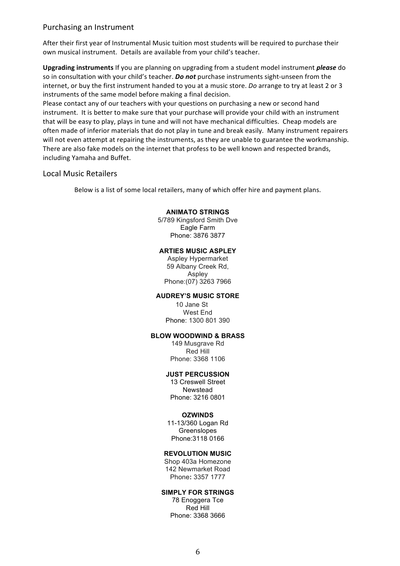#### Purchasing an Instrument

After their first year of Instrumental Music tuition most students will be required to purchase their own musical instrument. Details are available from your child's teacher.

**Upgrading instruments** If you are planning on upgrading from a student model instrument *please* do so in consultation with your child's teacher. *Do not* purchase instruments sight-unseen from the internet, or buy the first instrument handed to you at a music store. *Do* arrange to try at least 2 or 3 instruments of the same model before making a final decision.

Please contact any of our teachers with your questions on purchasing a new or second hand instrument. It is better to make sure that your purchase will provide your child with an instrument that will be easy to play, plays in tune and will not have mechanical difficulties. Cheap models are often made of inferior materials that do not play in tune and break easily. Many instrument repairers will not even attempt at repairing the instruments, as they are unable to guarantee the workmanship. There are also fake models on the internet that profess to be well known and respected brands, including Yamaha and Buffet.

#### Local Music Retailers

Below is a list of some local retailers, many of which offer hire and payment plans.

#### **ANIMATO STRINGS**

5/789 Kingsford Smith Dve Eagle Farm Phone: 3876 3877

#### **ARTIES MUSIC ASPLEY**

Aspley Hypermarket 59 Albany Creek Rd, Aspley Phone:(07) 3263 7966

#### **AUDREY'S MUSIC STORE**

10 Jane St West End Phone: 1300 801 390

#### **BLOW WOODWIND & BRASS**

149 Musgrave Rd Red Hill Phone: 3368 1106

#### **JUST PERCUSSION**

13 Creswell Street Newstead Phone: 3216 0801

#### **OZWINDS**

11-13/360 Logan Rd Greenslopes Phone:3118 0166

#### **REVOLUTION MUSIC**

Shop 403a Homezone 142 Newmarket Road Phone**:** 3357 1777

#### **SIMPLY FOR STRINGS**

78 Enoggera Tce Red Hill Phone: 3368 3666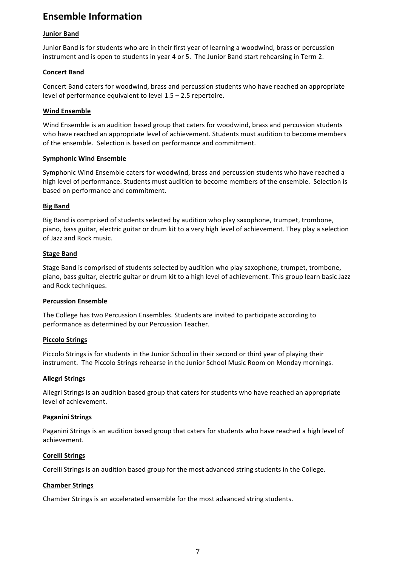# **Ensemble Information**

#### **Junior Band**

Junior Band is for students who are in their first year of learning a woodwind, brass or percussion instrument and is open to students in year 4 or 5. The Junior Band start rehearsing in Term 2.

#### **Concert Band**

Concert Band caters for woodwind, brass and percussion students who have reached an appropriate level of performance equivalent to level  $1.5 - 2.5$  repertoire.

#### **Wind Ensemble**

Wind Ensemble is an audition based group that caters for woodwind, brass and percussion students who have reached an appropriate level of achievement. Students must audition to become members of the ensemble. Selection is based on performance and commitment.

#### **Symphonic Wind Ensemble**

Symphonic Wind Ensemble caters for woodwind, brass and percussion students who have reached a high level of performance. Students must audition to become members of the ensemble. Selection is based on performance and commitment.

#### **Big Band**

Big Band is comprised of students selected by audition who play saxophone, trumpet, trombone, piano, bass guitar, electric guitar or drum kit to a very high level of achievement. They play a selection of Jazz and Rock music. 

#### **Stage Band**

Stage Band is comprised of students selected by audition who play saxophone, trumpet, trombone, piano, bass guitar, electric guitar or drum kit to a high level of achievement. This group learn basic Jazz and Rock techniques.

#### **Percussion Ensemble**

The College has two Percussion Ensembles. Students are invited to participate according to performance as determined by our Percussion Teacher.

#### **Piccolo Strings**

Piccolo Strings is for students in the Junior School in their second or third year of playing their instrument. The Piccolo Strings rehearse in the Junior School Music Room on Monday mornings.

#### **Allegri Strings**

Allegri Strings is an audition based group that caters for students who have reached an appropriate level of achievement.

#### **Paganini Strings**

Paganini Strings is an audition based group that caters for students who have reached a high level of achievement.

#### **Corelli Strings**

Corelli Strings is an audition based group for the most advanced string students in the College.

### **Chamber Strings**

Chamber Strings is an accelerated ensemble for the most advanced string students.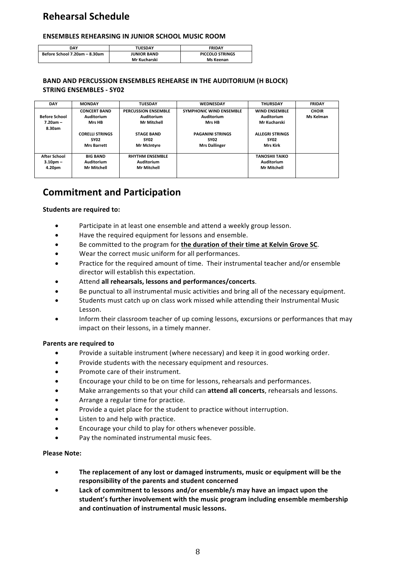# **Rehearsal Schedule**

#### **ENSEMBLES REHEARSING IN JUNIOR SCHOOL MUSIC ROOM**

| DAY                           | <b>TUESDAY</b>     | <b>FRIDAY</b>          |  |
|-------------------------------|--------------------|------------------------|--|
| Before School 7.20am - 8.30am | <b>JUNIOR BAND</b> | <b>PICCOLO STRINGS</b> |  |
|                               | Mr Kucharski       | Ms Keenan              |  |

#### **BAND AND PERCUSSION ENSEMBLES REHEARSE IN THE AUDITORIUM (H BLOCK) STRING ENSEMBLES - SY02**

| <b>DAY</b>           | <b>MONDAY</b>          | <b>TUESDAY</b>             | <b>WEDNESDAY</b>               | <b>THURSDAY</b>        | <b>FRIDAY</b> |
|----------------------|------------------------|----------------------------|--------------------------------|------------------------|---------------|
|                      | <b>CONCERT BAND</b>    | <b>PERCUSSION ENSEMBLE</b> | <b>SYMPHONIC WIND ENSEMBLE</b> | <b>WIND ENSEMBLE</b>   | <b>CHOIR</b>  |
| <b>Before School</b> | Auditorium             | Auditorium                 | Auditorium                     | Auditorium             | Ms Kelman     |
| $7.20am -$           | Mrs HB                 | <b>Mr Mitchell</b>         | Mrs HB                         | Mr Kucharski           |               |
| 8.30am               |                        |                            |                                |                        |               |
|                      | <b>CORELLI STRINGS</b> | <b>STAGE BAND</b>          | <b>PAGANINI STRINGS</b>        | <b>ALLEGRI STRINGS</b> |               |
|                      | <b>SY02</b>            | <b>SY02</b>                | <b>SY02</b>                    | <b>SY02</b>            |               |
|                      | <b>Mrs Barrett</b>     | <b>Mr McIntyre</b>         | <b>Mrs Dallinger</b>           | Mrs Kirk               |               |
|                      |                        |                            |                                |                        |               |
| <b>After School</b>  | <b>BIG BAND</b>        | <b>RHYTHM ENSEMBLE</b>     |                                | <b>TANOSHII TAIKO</b>  |               |
| $3.10pm -$           | Auditorium             | Auditorium                 |                                | Auditorium             |               |
| 4.20pm               | <b>Mr Mitchell</b>     | <b>Mr Mitchell</b>         |                                | Mr Mitchell            |               |
|                      |                        |                            |                                |                        |               |

# **Commitment and Participation**

#### **Students are required to:**

- Participate in at least one ensemble and attend a weekly group lesson.
- Have the required equipment for lessons and ensemble.
- Be committed to the program for the duration of their time at Kelvin Grove SC.
- Wear the correct music uniform for all performances.
- Practice for the required amount of time. Their instrumental teacher and/or ensemble director will establish this expectation.
- Attend all rehearsals, lessons and performances/concerts.
- Be punctual to all instrumental music activities and bring all of the necessary equipment.
- Students must catch up on class work missed while attending their Instrumental Music Lesson.
- Inform their classroom teacher of up coming lessons, excursions or performances that may impact on their lessons, in a timely manner.

#### **Parents are required to**

- Provide a suitable instrument (where necessary) and keep it in good working order.
- Provide students with the necessary equipment and resources.
- Promote care of their instrument.
- Encourage your child to be on time for lessons, rehearsals and performances.
- Make arrangements so that your child can **attend all concerts**, rehearsals and lessons.
- Arrange a regular time for practice.
- Provide a quiet place for the student to practice without interruption.
- Listen to and help with practice.
- Encourage your child to play for others whenever possible.
- Pay the nominated instrumental music fees.

#### **Please Note:**

- The replacement of any lost or damaged instruments, music or equipment will be the responsibility of the parents and student concerned
- Lack of commitment to lessons and/or ensemble/s may have an impact upon the student's further involvement with the music program including ensemble membership **and continuation of instrumental music lessons.**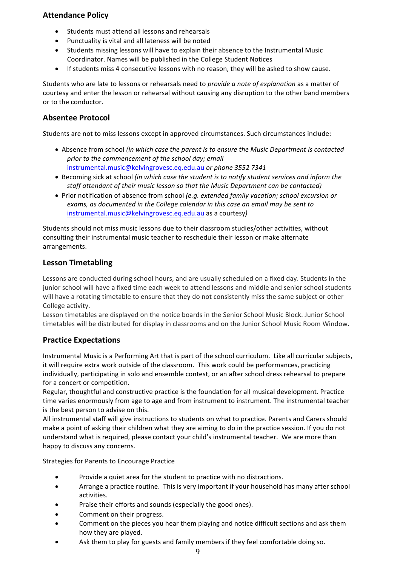# **Attendance Policy**

- Students must attend all lessons and rehearsals
- Punctuality is vital and all lateness will be noted
- Students missing lessons will have to explain their absence to the Instrumental Music Coordinator. Names will be published in the College Student Notices
- If students miss 4 consecutive lessons with no reason, they will be asked to show cause.

Students who are late to lessons or rehearsals need to *provide a note of explanation* as a matter of courtesy and enter the lesson or rehearsal without causing any disruption to the other band members or to the conductor.

## **Absentee Protocol**

Students are not to miss lessons except in approved circumstances. Such circumstances include:

- Absence from school *(in which case the parent is to ensure the Music Department is contacted* prior to the commencement of the school day; email instrumental.music@kelvingrovesc.eq.edu.au or phone 3552 7341
- Becoming sick at school *(in which case the student is to notify student services and inform the staff attendant of their music lesson so that the Music Department can be contacted)*
- Prior notification of absence from school *(e.g. extended family vacation; school excursion or* exams, as documented in the College calendar in this case an email may be sent to instrumental.music@kelvingrovesc.eq.edu.au as a courtesy)

Students should not miss music lessons due to their classroom studies/other activities, without consulting their instrumental music teacher to reschedule their lesson or make alternate arrangements.

## **Lesson Timetabling**

Lessons are conducted during school hours, and are usually scheduled on a fixed day. Students in the junior school will have a fixed time each week to attend lessons and middle and senior school students will have a rotating timetable to ensure that they do not consistently miss the same subject or other College activity.

Lesson timetables are displayed on the notice boards in the Senior School Music Block. Junior School timetables will be distributed for display in classrooms and on the Junior School Music Room Window.

# **Practice Expectations**

Instrumental Music is a Performing Art that is part of the school curriculum. Like all curricular subjects, it will require extra work outside of the classroom. This work could be performances, practicing individually, participating in solo and ensemble contest, or an after school dress rehearsal to prepare for a concert or competition.

Regular, thoughtful and constructive practice is the foundation for all musical development. Practice time varies enormously from age to age and from instrument to instrument. The instrumental teacher is the best person to advise on this.

All instrumental staff will give instructions to students on what to practice. Parents and Carers should make a point of asking their children what they are aiming to do in the practice session. If you do not understand what is required, please contact your child's instrumental teacher. We are more than happy to discuss any concerns.

Strategies for Parents to Encourage Practice

- Provide a quiet area for the student to practice with no distractions.
- Arrange a practice routine. This is very important if your household has many after school activities.
- Praise their efforts and sounds (especially the good ones).
- Comment on their progress.
- Comment on the pieces you hear them playing and notice difficult sections and ask them how they are played.
- Ask them to play for guests and family members if they feel comfortable doing so.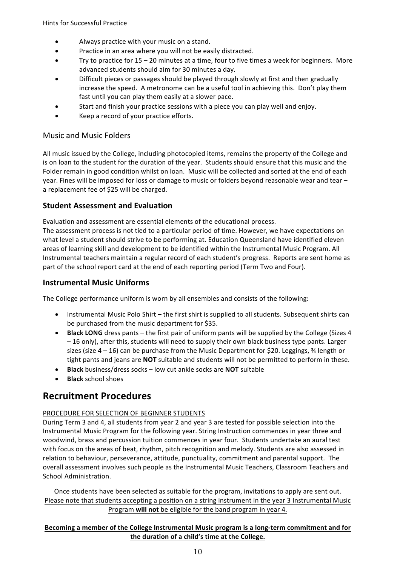- Always practice with your music on a stand.
- Practice in an area where you will not be easily distracted.
- Trv to practice for 15 20 minutes at a time, four to five times a week for beginners. More advanced students should aim for 30 minutes a day.
- Difficult pieces or passages should be played through slowly at first and then gradually increase the speed. A metronome can be a useful tool in achieving this. Don't play them fast until you can play them easily at a slower pace.
- Start and finish your practice sessions with a piece you can play well and enjoy.
- Keep a record of your practice efforts.

# Music and Music Folders

All music issued by the College, including photocopied items, remains the property of the College and is on loan to the student for the duration of the year. Students should ensure that this music and the Folder remain in good condition whilst on loan. Music will be collected and sorted at the end of each year. Fines will be imposed for loss or damage to music or folders beyond reasonable wear and tear  $$ a replacement fee of \$25 will be charged.

# **Student Assessment and Evaluation**

Evaluation and assessment are essential elements of the educational process.

The assessment process is not tied to a particular period of time. However, we have expectations on what level a student should strive to be performing at. Education Queensland have identified eleven areas of learning skill and development to be identified within the Instrumental Music Program. All Instrumental teachers maintain a regular record of each student's progress. Reports are sent home as part of the school report card at the end of each reporting period (Term Two and Four).

# **Instrumental Music Uniforms**

The College performance uniform is worn by all ensembles and consists of the following:

- Instrumental Music Polo Shirt the first shirt is supplied to all students. Subsequent shirts can be purchased from the music department for \$35.
- **Black LONG** dress pants the first pair of uniform pants will be supplied by the College (Sizes 4 - 16 only), after this, students will need to supply their own black business type pants. Larger sizes (size  $4 - 16$ ) can be purchase from the Music Department for \$20. Leggings,  $\frac{3}{4}$  length or tight pants and jeans are **NOT** suitable and students will not be permitted to perform in these.
- **Black** business/dress socks low cut ankle socks are **NOT** suitable
- **Black** school shoes

# **Recruitment Procedures**

# PROCEDURE FOR SELECTION OF BEGINNER STUDENTS

During Term 3 and 4, all students from year 2 and year 3 are tested for possible selection into the Instrumental Music Program for the following year. String Instruction commences in year three and woodwind, brass and percussion tuition commences in year four. Students undertake an aural test with focus on the areas of beat, rhythm, pitch recognition and melody. Students are also assessed in relation to behaviour, perseverance, attitude, punctuality, commitment and parental support. The overall assessment involves such people as the Instrumental Music Teachers, Classroom Teachers and School Administration.

Once students have been selected as suitable for the program, invitations to apply are sent out. Please note that students accepting a position on a string instrument in the year 3 Instrumental Music Program will not be eligible for the band program in year 4.

### Becoming a member of the College Instrumental Music program is a long-term commitment and for the duration of a child's time at the College.